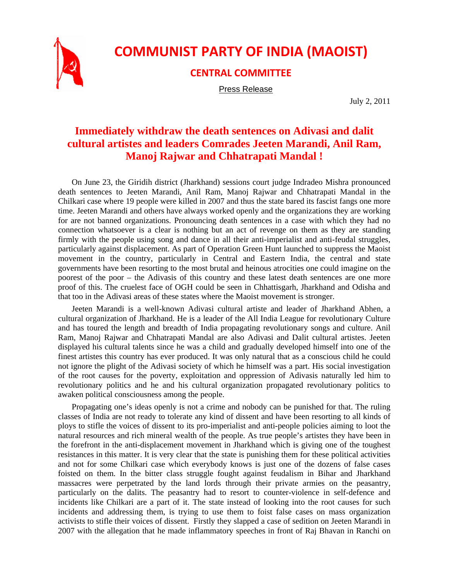

## **COMMUNIST PARTY OF INDIA (MAOIST)**

**CENTRAL COMMITTEE**

Press Release

July 2, 2011

## **Immediately withdraw the death sentences on Adivasi and dalit cultural artistes and leaders Comrades Jeeten Marandi, Anil Ram, Manoj Rajwar and Chhatrapati Mandal !**

On June 23, the Giridih district (Jharkhand) sessions court judge Indradeo Mishra pronounced death sentences to Jeeten Marandi, Anil Ram, Manoj Rajwar and Chhatrapati Mandal in the Chilkari case where 19 people were killed in 2007 and thus the state bared its fascist fangs one more time. Jeeten Marandi and others have always worked openly and the organizations they are working for are not banned organizations. Pronouncing death sentences in a case with which they had no connection whatsoever is a clear is nothing but an act of revenge on them as they are standing firmly with the people using song and dance in all their anti-imperialist and anti-feudal struggles, particularly against displacement. As part of Operation Green Hunt launched to suppress the Maoist movement in the country, particularly in Central and Eastern India, the central and state governments have been resorting to the most brutal and heinous atrocities one could imagine on the poorest of the poor – the Adivasis of this country and these latest death sentences are one more proof of this. The cruelest face of OGH could be seen in Chhattisgarh, Jharkhand and Odisha and that too in the Adivasi areas of these states where the Maoist movement is stronger.

Jeeten Marandi is a well-known Adivasi cultural artiste and leader of Jharkhand Abhen, a cultural organization of Jharkhand. He is a leader of the All India League for revolutionary Culture and has toured the length and breadth of India propagating revolutionary songs and culture. Anil Ram, Manoj Rajwar and Chhatrapati Mandal are also Adivasi and Dalit cultural artistes. Jeeten displayed his cultural talents since he was a child and gradually developed himself into one of the finest artistes this country has ever produced. It was only natural that as a conscious child he could not ignore the plight of the Adivasi society of which he himself was a part. His social investigation of the root causes for the poverty, exploitation and oppression of Adivasis naturally led him to revolutionary politics and he and his cultural organization propagated revolutionary politics to awaken political consciousness among the people.

Propagating one's ideas openly is not a crime and nobody can be punished for that. The ruling classes of India are not ready to tolerate any kind of dissent and have been resorting to all kinds of ploys to stifle the voices of dissent to its pro-imperialist and anti-people policies aiming to loot the natural resources and rich mineral wealth of the people. As true people's artistes they have been in the forefront in the anti-displacement movement in Jharkhand which is giving one of the toughest resistances in this matter. It is very clear that the state is punishing them for these political activities and not for some Chilkari case which everybody knows is just one of the dozens of false cases foisted on them. In the bitter class struggle fought against feudalism in Bihar and Jharkhand massacres were perpetrated by the land lords through their private armies on the peasantry, particularly on the dalits. The peasantry had to resort to counter-violence in self-defence and incidents like Chilkari are a part of it. The state instead of looking into the root causes for such incidents and addressing them, is trying to use them to foist false cases on mass organization activists to stifle their voices of dissent. Firstly they slapped a case of sedition on Jeeten Marandi in 2007 with the allegation that he made inflammatory speeches in front of Raj Bhavan in Ranchi on